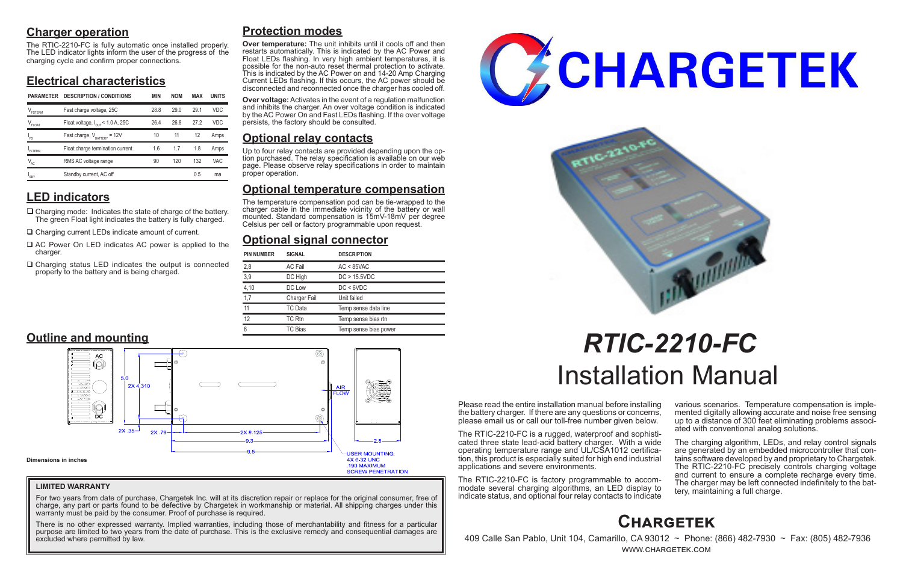## **Charger operation**

The RTIC-2210-FC is fully automatic once installed properly. The LED indicator lights inform the user of the progress of the charging cycle and confirm proper connections.

## **Electrical characteristics**

# **LED indicators**

- $\Box$  Charging mode: Indicates the state of charge of the battery. The green Float light indicates the battery is fully charged.
- □ Charging current LEDs indicate amount of current.
- $\Box$  AC Power On LED indicates AC power is applied to the charger.
- $\Box$  Charging status LED indicates the output is connected properly to the battery and is being charged.

Please read the entire installation manual before installing the battery charger. If there are any questions or concerns, please email us or call our toll-free number given below.

> The charging algorithm, LEDs, and relay control signals are generated by an embedded microcontroller that contains software developed by and proprietary to Chargetek. The RTIC-2210-FC precisely controls charging voltage and current to ensure a complete recharge every time. The charger may be left connected indefinitely to the bat- tery, maintaining a full charge.

The RTIC-2210-FC is a rugged, waterproof and sophisticated three state lead-acid battery charger. With a wide operating temperature range and UL/CSA1012 certification, this product is especially suited for high end industrial applications and severe environments.

The RTIC-2210-FC is factory programmable to accommodate several charging algorithms, an LED display to indicate status, and optional four relay contacts to indicate

various scenarios. Temperature compensation is imple- mented digitally allowing accurate and noise free sensing up to a distance of 300 feet eliminating problems associ- ated with conventional analog solutions.

For two years from date of purchase, Chargetek Inc. will at its discretion repair or replace for the original consumer, free of charge, any part or parts found to be defective by Chargetek in workmanship or material. All shipping charges under this warranty must be paid by the consumer. Proof of purchase is required.

# *RTIC-2210-FC* Installation Manual

## **Protection modes**

**Over temperature:** The unit inhibits until it cools off and then restarts automatically. This is indicated by the AC Power and Float LEDs flashing. In very high ambient temperatures, it is possible for the non-auto reset thermal protection to activate. This is indicated by the AC Power on and 14-20 Amp Charging Current LEDs flashing. If this occurs, the AC power should be disconnected and reconnected once the charger has cooled off.

**Over voltage:** Activates in the event of a regulation malfunction and inhibits the charger. An over voltage condition is indicated by the AC Power On and Fast LEDs flashing. If the over voltage persists, the factory should be consulted.

## **Optional relay contacts**

Up to four relay contacts are provided depending upon the op- tion purchased. The relay specification is available on our web page. Please observe relay specifications in order to maintain proper operation.

## **Optional temperature compensation**

The temperature compensation pod can be tie-wrapped to the charger cable in the immediate vicinity of the battery or wall mounted. Standard compensation is 15mV-18mV per degree Celsius per cell or factory programmable upon request.

## **Optional signal connector**



 409 Calle San Pablo, Unit 104, Camarillo, CA 93012 ~ Phone: (866) 482-7930 ~ Fax: (805) 482-7936 www.chargetek.com

| <b>PIN NUMBER</b> | <b>SIGNAL</b>  | <b>DESCRIPTION</b>    |  |  |
|-------------------|----------------|-----------------------|--|--|
| 2,8               | <b>AC Fail</b> | $AC < 85$ VAC         |  |  |
| 3,9               | DC High        | DC > 15.5VDC          |  |  |
| 4,10              | DC Low         | DC < 6VDC             |  |  |
| 1,7               | Charger Fail   | Unit failed           |  |  |
| 11                | TC Data        | Temp sense data line  |  |  |
| 12                | TC Rtn         | Temp sense bias rtn   |  |  |
| ჩ                 | TC Bias        | Temp sense bias power |  |  |



## **LIMITED WARRANTY**

There is no other expressed warranty. Implied warranties, including those of merchantability and fitness for a particular purpose are limited to two years from the date of purchase. This is the exclusive remedy and consequential damages are excluded where permitted by law.





| <b>PARAMETER</b> | <b>DESCRIPTION / CONDITIONS</b>              | <b>MIN</b> | <b>NOM</b> | MAX  | <b>UNITS</b> |
|------------------|----------------------------------------------|------------|------------|------|--------------|
| FSTERM           | Fast charge voltage, 25C                     | 28.8       | 290        | 291  | <b>VDC</b>   |
| $V_{FLOAT}$      | Float voltage, $I_{\text{out}}$ < 1.0 A, 25C | 26.4       | 26.8       | 27.2 | <b>VDC</b>   |
| ı<br>Fs          | Fast charge, $V_{\text{raffry}} = 12V$       | 10         | 11         | 12   | Amps         |
| FITERM           | Float charge termination current             | 1.6        | 1.7        | 1.8  | Amps         |
| $V_{AC}$         | RMS AC voltage range                         | 90         | 120        | 132  | <b>VAC</b>   |
| 'SBY             | Standby current, AC off                      |            |            | 0.5  | ma           |